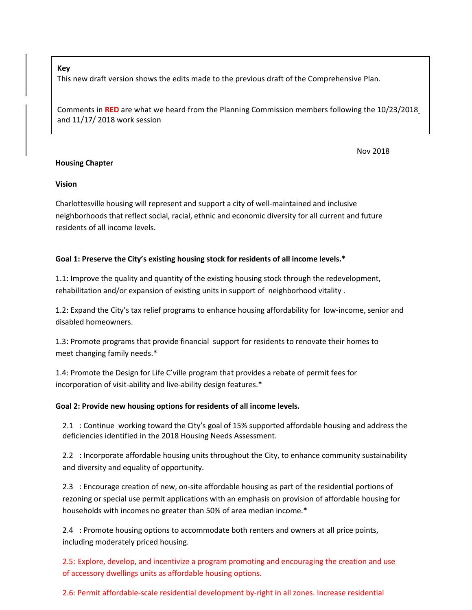#### **Key**

This new draft version shows the edits made to the previous draft of the Comprehensive Plan.

Comments in **RED** are what we heard from the Planning Commission members following the 10/23/2018 and 11/17/ 2018 work session

### **Housing Chapter**

Nov 2018

### **Vision**

Charlottesville housing will represent and support a city of well-maintained and inclusive neighborhoods that reflect social, racial, ethnic and economic diversity for all current and future residents of all income levels.

### **Goal 1: Preserve the City's existing housing stock for residents of all income levels.\***

1.1: Improve the quality and quantity of the existing housing stock through the redevelopment, rehabilitation and/or expansion of existing units in support of neighborhood vitality .

1.2: Expand the City's tax relief programs to enhance housing affordability for low-income, senior and disabled homeowners.

1.3: Promote programs that provide financial support for residents to renovate their homes to meet changing family needs.\*

1.4: Promote the Design for Life C'ville program that provides a rebate of permit fees for incorporation of visit-ability and live-ability design features.\*

### **Goal 2: Provide new housing options for residents of all income levels.**

2.1 : Continue working toward the City's goal of 15% supported affordable housing and address the deficiencies identified in the 2018 Housing Needs Assessment.

2.2 : Incorporate affordable housing units throughout the City, to enhance community sustainability and diversity and equality of opportunity.

2.3 : Encourage creation of new, on-site affordable housing as part of the residential portions of rezoning or special use permit applications with an emphasis on provision of affordable housing for households with incomes no greater than 50% of area median income.\*

2.4 : Promote housing options to accommodate both renters and owners at all price points, including moderately priced housing.

2.5: Explore, develop, and incentivize a program promoting and encouraging the creation and use of accessory dwellings units as affordable housing options.

2.6: Permit affordable-scale residential development by-right in all zones. Increase residential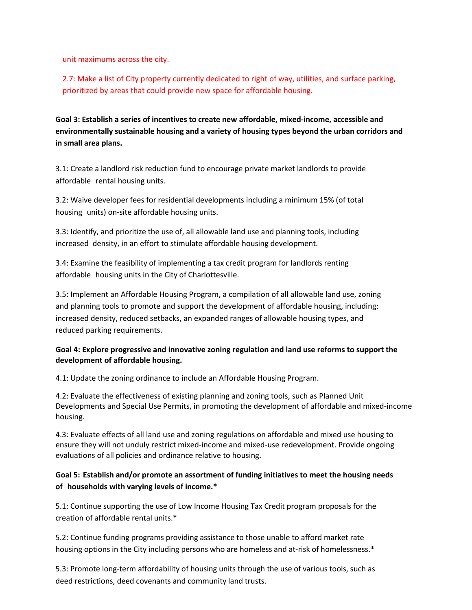unit maximums across the city.

2.7: Make a list of City property currently dedicated to right of way, utilities, and surface parking, prioritized by areas that could provide new space for affordable housing.

**Goal 3: Establish a series of incentives to create new affordable, mixed-income, accessible and environmentally sustainable housing and a variety of housing types beyond the urban corridors and in small area plans.**

3.1: Create a landlord risk reduction fund to encourage private market landlords to provide affordable rental housing units.

3.2: Waive developer fees for residential developments including a minimum 15% (of total housing units) on-site affordable housing units.

3.3: Identify, and prioritize the use of, all allowable land use and planning tools, including increased density, in an effort to stimulate affordable housing development.

3.4: Examine the feasibility of implementing a tax credit program for landlords renting affordable housing units in the City of Charlottesville.

3.5: Implement an Affordable Housing Program, a compilation of all allowable land use, zoning and planning tools to promote and support the development of affordable housing, including: increased density, reduced setbacks, an expanded ranges of allowable housing types, and reduced parking requirements.

### **Goal 4: Explore progressive and innovative zoning regulation and land use reforms to support the development of affordable housing.**

4.1: Update the zoning ordinance to include an Affordable Housing Program.

4.2: Evaluate the effectiveness of existing planning and zoning tools, such as Planned Unit Developments and Special Use Permits, in promoting the development of affordable and mixed-income housing.

4.3: Evaluate effects of all land use and zoning regulations on affordable and mixed use housing to ensure they will not unduly restrict mixed-income and mixed-use redevelopment. Provide ongoing evaluations of all policies and ordinance relative to housing.

## **Goal 5: Establish and/or promote an assortment of funding initiatives to meet the housing needs of households with varying levels of income.\***

5.1: Continue supporting the use of Low Income Housing Tax Credit program proposals for the creation of affordable rental units.\*

5.2: Continue funding programs providing assistance to those unable to afford market rate housing options in the City including persons who are homeless and at-risk of homelessness.\*

5.3: Promote long-term affordability of housing units through the use of various tools, such as deed restrictions, deed covenants and community land trusts.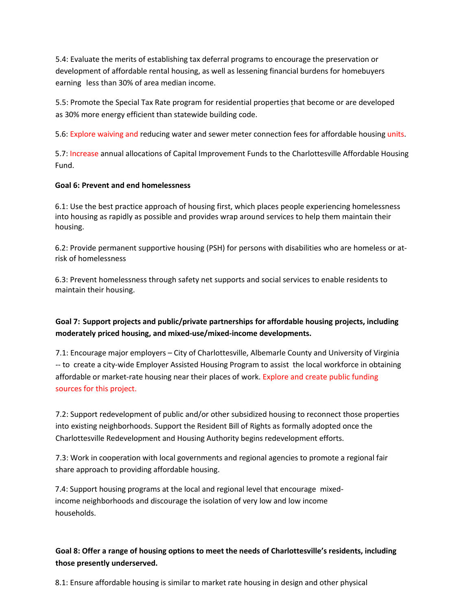5.4: Evaluate the merits of establishing tax deferral programs to encourage the preservation or development of affordable rental housing, as well as lessening financial burdens for homebuyers earning less than 30% of area median income.

5.5: Promote the Special Tax Rate program for residential properties that become or are developed as 30% more energy efficient than statewide building code.

5.6: Explore waiving and reducing water and sewer meter connection fees for affordable housing units.

5.7: Increase annual allocations of Capital Improvement Funds to the Charlottesville Affordable Housing Fund.

### **Goal 6: Prevent and end homelessness**

6.1: Use the best practice approach of housing first, which places people experiencing homelessness into housing as rapidly as possible and provides wrap around services to help them maintain their housing.

6.2: Provide permanent supportive housing (PSH) for persons with disabilities who are homeless or atrisk of homelessness

6.3: Prevent homelessness through safety net supports and social services to enable residents to maintain their housing.

# **Goal 7: Support projects and public/private partnerships for affordable housing projects, including moderately priced housing, and mixed-use/mixed-income developments.**

7.1: Encourage major employers – City of Charlottesville, Albemarle County and University of Virginia -- to create a city-wide Employer Assisted Housing Program to assist the local workforce in obtaining affordable or market-rate housing near their places of work. Explore and create public funding sources for this project.

7.2: Support redevelopment of public and/or other subsidized housing to reconnect those properties into existing neighborhoods. Support the Resident Bill of Rights as formally adopted once the Charlottesville Redevelopment and Housing Authority begins redevelopment efforts.

7.3: Work in cooperation with local governments and regional agencies to promote a regional fair share approach to providing affordable housing.

7.4: Support housing programs at the local and regional level that encourage mixedincome neighborhoods and discourage the isolation of very low and low income households.

# **Goal 8: Offer a range of housing options to meet the needs of Charlottesville's residents, including those presently underserved.**

8.1: Ensure affordable housing is similar to market rate housing in design and other physical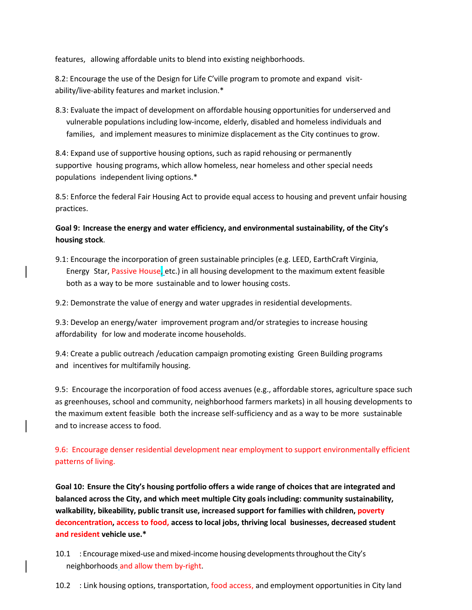features, allowing affordable units to blend into existing neighborhoods.

8.2: Encourage the use of the Design for Life C'ville program to promote and expand visitability/live-ability features and market inclusion.\*

8.3: Evaluate the impact of development on affordable housing opportunities for underserved and vulnerable populations including low-income, elderly, disabled and homeless individuals and families, and implement measures to minimize displacement as the City continues to grow.

8.4: Expand use of supportive housing options, such as rapid rehousing or permanently supportive housing programs, which allow homeless, near homeless and other special needs populations independent living options.\*

8.5: Enforce the federal Fair Housing Act to provide equal access to housing and prevent unfair housing practices.

**Goal 9: Increase the energy and water efficiency, and environmental sustainability, of the City's housing stock**.

9.1: Encourage the incorporation of green sustainable principles (e.g. LEED, EarthCraft Virginia, Energy Star, Passive House, etc.) in all housing development to the maximum extent feasible both as a way to be more sustainable and to lower housing costs.

9.2: Demonstrate the value of energy and water upgrades in residential developments.

9.3: Develop an energy/water improvement program and/or strategies to increase housing affordability for low and moderate income households.

9.4: Create a public outreach /education campaign promoting existing Green Building programs and incentives for multifamily housing.

9.5: Encourage the incorporation of food access avenues (e.g., affordable stores, agriculture space such as greenhouses, school and community, neighborhood farmers markets) in all housing developments to the maximum extent feasible both the increase self-sufficiency and as a way to be more sustainable and to increase access to food.

9.6: Encourage denser residential development near employment to support environmentally efficient patterns of living.

**Goal 10: Ensure the City's housing portfolio offers a wide range of choices that are integrated and balanced across the City, and which meet multiple City goals including: community sustainability, walkability, bikeability, public transit use, increased support for families with children, poverty deconcentration, access to food, access to local jobs, thriving local businesses, decreased student and resident vehicle use.\***

10.1 : Encouragemixed-use and mixed-income housing developments throughoutthe City's neighborhoods and allow them by-right.